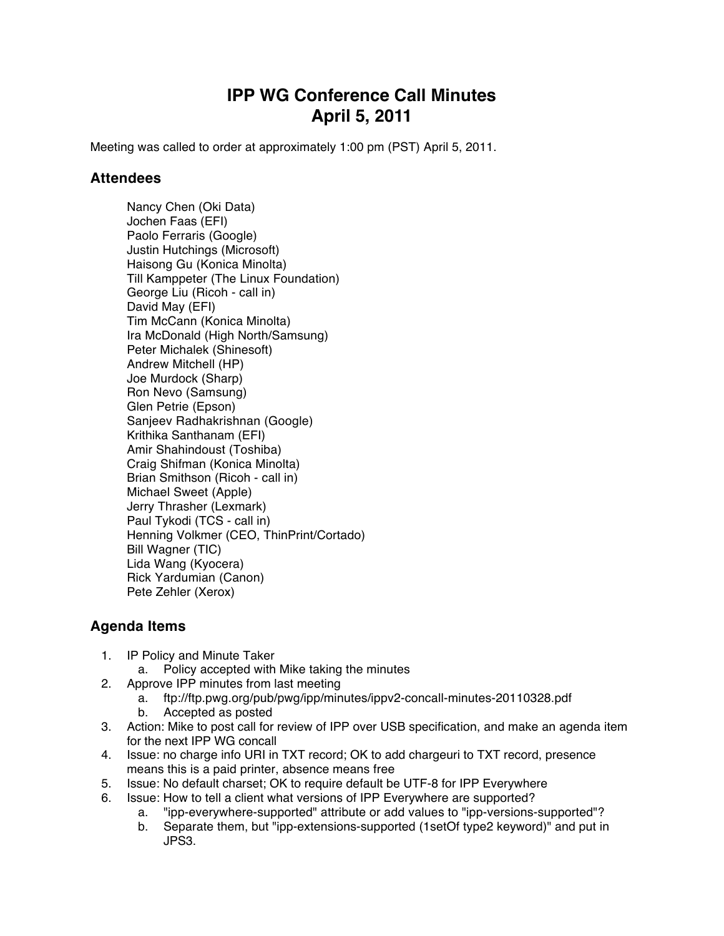## **IPP WG Conference Call Minutes April 5, 2011**

Meeting was called to order at approximately 1:00 pm (PST) April 5, 2011.

## **Attendees**

Nancy Chen (Oki Data) Jochen Faas (EFI) Paolo Ferraris (Google) Justin Hutchings (Microsoft) Haisong Gu (Konica Minolta) Till Kamppeter (The Linux Foundation) George Liu (Ricoh - call in) David May (EFI) Tim McCann (Konica Minolta) Ira McDonald (High North/Samsung) Peter Michalek (Shinesoft) Andrew Mitchell (HP) Joe Murdock (Sharp) Ron Nevo (Samsung) Glen Petrie (Epson) Sanjeev Radhakrishnan (Google) Krithika Santhanam (EFI) Amir Shahindoust (Toshiba) Craig Shifman (Konica Minolta) Brian Smithson (Ricoh - call in) Michael Sweet (Apple) Jerry Thrasher (Lexmark) Paul Tykodi (TCS - call in) Henning Volkmer (CEO, ThinPrint/Cortado) Bill Wagner (TIC) Lida Wang (Kyocera) Rick Yardumian (Canon) Pete Zehler (Xerox)

## **Agenda Items**

- 1. IP Policy and Minute Taker
	- a. Policy accepted with Mike taking the minutes
- 2. Approve IPP minutes from last meeting
	- a. ftp://ftp.pwg.org/pub/pwg/ipp/minutes/ippv2-concall-minutes-20110328.pdf
	- b. Accepted as posted
- 3. Action: Mike to post call for review of IPP over USB specification, and make an agenda item for the next IPP WG concall
- 4. Issue: no charge info URI in TXT record; OK to add chargeuri to TXT record, presence means this is a paid printer, absence means free
- 5. Issue: No default charset; OK to require default be UTF-8 for IPP Everywhere
- 6. Issue: How to tell a client what versions of IPP Everywhere are supported?
	- a. "ipp-everywhere-supported" attribute or add values to "ipp-versions-supported"?
	- b. Separate them, but "ipp-extensions-supported (1setOf type2 keyword)" and put in JPS3.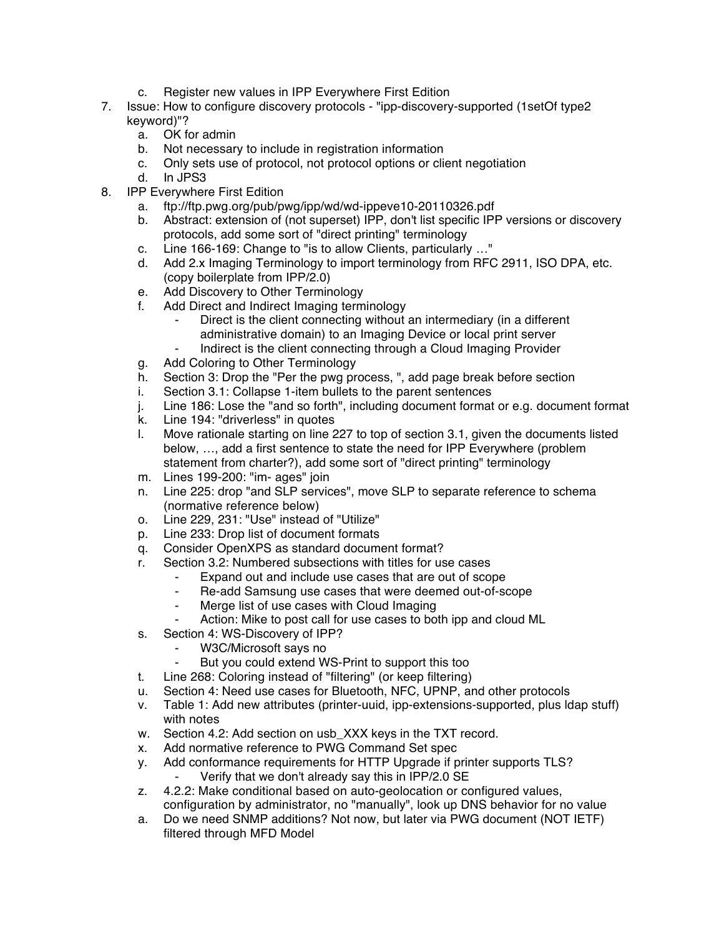- c. Register new values in IPP Everywhere First Edition
- 7. Issue: How to configure discovery protocols "ipp-discovery-supported (1setOf type2 keyword)"?
	- a. OK for admin
	- b. Not necessary to include in registration information
	- c. Only sets use of protocol, not protocol options or client negotiation
	- d. In JPS3
- 8. IPP Everywhere First Edition
	- a. ftp://ftp.pwg.org/pub/pwg/ipp/wd/wd-ippeve10-20110326.pdf
	- b. Abstract: extension of (not superset) IPP, don't list specific IPP versions or discovery protocols, add some sort of "direct printing" terminology
	- c. Line 166-169: Change to "is to allow Clients, particularly …"
	- d. Add 2.x Imaging Terminology to import terminology from RFC 2911, ISO DPA, etc. (copy boilerplate from IPP/2.0)
	- e. Add Discovery to Other Terminology
	- f. Add Direct and Indirect Imaging terminology
		- Direct is the client connecting without an intermediary (in a different administrative domain) to an Imaging Device or local print server
		- Indirect is the client connecting through a Cloud Imaging Provider
	- g. Add Coloring to Other Terminology
	- h. Section 3: Drop the "Per the pwg process, ", add page break before section
	- i. Section 3.1: Collapse 1-item bullets to the parent sentences
	- j. Line 186: Lose the "and so forth", including document format or e.g. document format
	- k. Line 194: "driverless" in quotes
	- l. Move rationale starting on line 227 to top of section 3.1, given the documents listed below, …, add a first sentence to state the need for IPP Everywhere (problem statement from charter?), add some sort of "direct printing" terminology
	- m. Lines 199-200: "im- ages" join
	- n. Line 225: drop "and SLP services", move SLP to separate reference to schema (normative reference below)
	- o. Line 229, 231: "Use" instead of "Utilize"
	- p. Line 233: Drop list of document formats
	- q. Consider OpenXPS as standard document format?
	- r. Section 3.2: Numbered subsections with titles for use cases
		- ⁃ Expand out and include use cases that are out of scope
			- ⁃ Re-add Samsung use cases that were deemed out-of-scope
			- Merge list of use cases with Cloud Imaging
		- Action: Mike to post call for use cases to both ipp and cloud ML
	- s. Section 4: WS-Discovery of IPP?
		- ⁃ W3C/Microsoft says no
		- But you could extend WS-Print to support this too
	- t. Line 268: Coloring instead of "filtering" (or keep filtering)
	- u. Section 4: Need use cases for Bluetooth, NFC, UPNP, and other protocols
	- v. Table 1: Add new attributes (printer-uuid, ipp-extensions-supported, plus ldap stuff) with notes
	- w. Section 4.2: Add section on usb\_XXX keys in the TXT record.
	- x. Add normative reference to PWG Command Set spec
	- y. Add conformance requirements for HTTP Upgrade if printer supports TLS? Verify that we don't already say this in IPP/2.0 SE
	- z. 4.2.2: Make conditional based on auto-geolocation or configured values, configuration by administrator, no "manually", look up DNS behavior for no value
	- a. Do we need SNMP additions? Not now, but later via PWG document (NOT IETF) filtered through MFD Model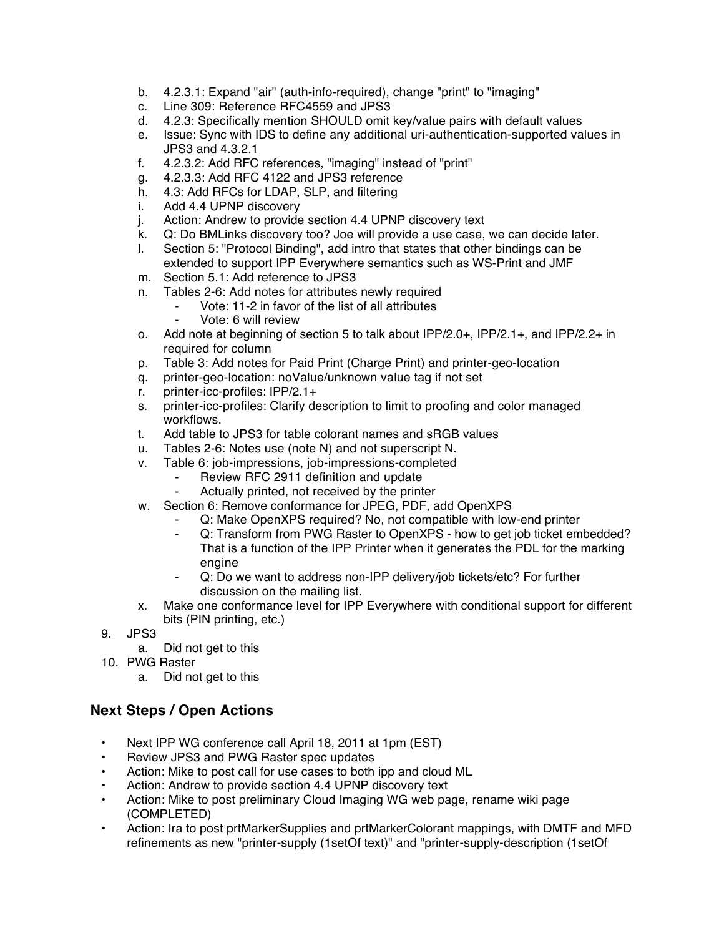- b. 4.2.3.1: Expand "air" (auth-info-required), change "print" to "imaging"
- c. Line 309: Reference RFC4559 and JPS3
- d. 4.2.3: Specifically mention SHOULD omit key/value pairs with default values
- e. Issue: Sync with IDS to define any additional uri-authentication-supported values in JPS3 and 4.3.2.1
- f. 4.2.3.2: Add RFC references, "imaging" instead of "print"
- g. 4.2.3.3: Add RFC 4122 and JPS3 reference
- h. 4.3: Add RFCs for LDAP, SLP, and filtering
- i. Add 4.4 UPNP discovery
- j. Action: Andrew to provide section 4.4 UPNP discovery text
- k. Q: Do BMLinks discovery too? Joe will provide a use case, we can decide later.
- l. Section 5: "Protocol Binding", add intro that states that other bindings can be extended to support IPP Everywhere semantics such as WS-Print and JMF
- m. Section 5.1: Add reference to JPS3
- n. Tables 2-6: Add notes for attributes newly required
	- ⁃ Vote: 11-2 in favor of the list of all attributes
		- ⁃ Vote: 6 will review
- o. Add note at beginning of section 5 to talk about IPP/2.0+, IPP/2.1+, and IPP/2.2+ in required for column
- p. Table 3: Add notes for Paid Print (Charge Print) and printer-geo-location
- q. printer-geo-location: noValue/unknown value tag if not set
- r. printer-icc-profiles: IPP/2.1+
- s. printer-icc-profiles: Clarify description to limit to proofing and color managed workflows.
- t. Add table to JPS3 for table colorant names and sRGB values
- u. Tables 2-6: Notes use (note N) and not superscript N.
- v. Table 6: job-impressions, job-impressions-completed
	- FREVIEW RFC 2911 definition and update<br>FRECULT Actually printed not received by the print
	- Actually printed, not received by the printer
- w. Section 6: Remove conformance for JPEG, PDF, add OpenXPS
	- Q: Make OpenXPS required? No, not compatible with low-end printer
	- Q: Transform from PWG Raster to OpenXPS how to get job ticket embedded? That is a function of the IPP Printer when it generates the PDL for the marking engine
	- ⁃ Q: Do we want to address non-IPP delivery/job tickets/etc? For further discussion on the mailing list.
- x. Make one conformance level for IPP Everywhere with conditional support for different bits (PIN printing, etc.)
- 9. JPS3
	- a. Did not get to this
- 10. PWG Raster
	- a. Did not get to this

## **Next Steps / Open Actions**

- Next IPP WG conference call April 18, 2011 at 1pm (EST)
- Review JPS3 and PWG Raster spec updates
- Action: Mike to post call for use cases to both ipp and cloud ML
- Action: Andrew to provide section 4.4 UPNP discovery text
- Action: Mike to post preliminary Cloud Imaging WG web page, rename wiki page (COMPLETED)
- Action: Ira to post prtMarkerSupplies and prtMarkerColorant mappings, with DMTF and MFD refinements as new "printer-supply (1setOf text)" and "printer-supply-description (1setOf